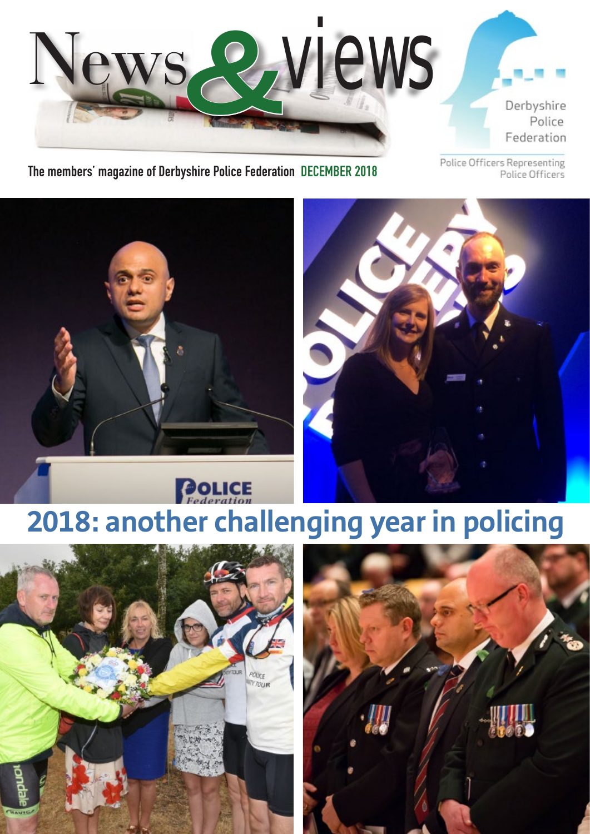

## **The members' magazine of Derbyshire Police Federation DECEMBER 2018**

Police Officers Representing Police Officers





# **POLICE 2018: another challenging year in policing**



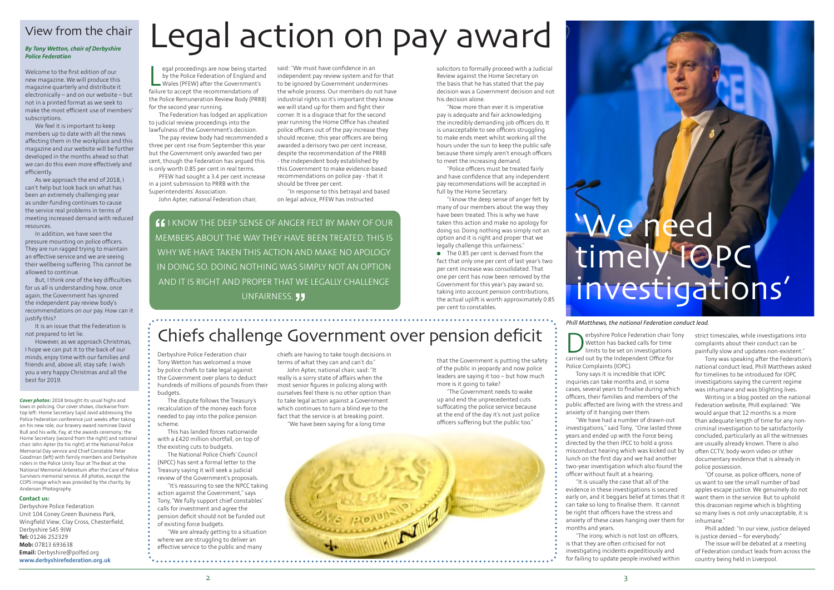egal proceedings are now being start<br>by the Police Federation of England a<br>Wales (PFEW) after the Government's<br>failure to accept the recommendations of egal proceedings are now being started by the Police Federation of England and Wales (PFEW) after the Government's the Police Remuneration Review Body (PRRB) for the second year running.

The Federation has lodged an application to judicial review proceedings into the lawfulness of the Government's decision.

The pay review body had recommended a three per cent rise from September this year but the Government only awarded two per cent, though the Federation has argued this is only worth 0.85 per cent in real terms.

PFEW had sought a 3.4 per cent increase in a joint submission to PRRB with the Superintendents' Association.

John Apter, national Federation chair,

Derbyshire Police Federation chair Tony Wetton has welcomed a move by police chiefs to take legal against the Government over plans to deduct hundreds of millions of pounds from their

budgets.

The dispute follows the Treasury's recalculation of the money each force needed to pay into the police pension

scheme.

This has landed forces nationwide with a £420 million shortfall, on top of

the existing cuts to budgets.

The National Police Chiefs' Council (NPCC) has sent a formal letter to the Treasury saying it will seek a judicial review of the Government's proposals. "It's reassuring to see the NPCC taking action against the Government," says Tony, "We fully support chief constables' calls for investment and agree the pension deficit should not be funded out

of existing force budgets.

"We are already getting to a situation where we are struggling to deliver an effective service to the public and many

# Legal action on pay award

 $\bullet$  The 0.85 per cent is derived from the fact that only one per cent of last year's two per cent increase was consolidated. That one per cent has now been removed by the Government for this year's pay award so, taking into account pension contributions, the actual uplift is worth approximately 0.85 per cent to constables.

**"**I KNOW THE DEEP SENSE OF ANGER FELT BY MANY OF OUR MEMBERS ABOUT THE WAY THEY HAVE BEEN TREATED. THIS IS WHY WE HAVE TAKEN THIS ACTION AND MAKE NO APOLOGY IN DOING SO. DOING NOTHING WAS SIMPLY NOT AN OPTION AND IT IS RIGHT AND PROPER THAT WE LEGALLY CHALLENGE UNFAIRNESS. **JJ** 

said: "We must have confidence in an independent pay review system and for that to be ignored by Government undermines the whole process. Our members do not have industrial rights so it's important they know we will stand up for them and fight their corner. It is a disgrace that for the second year running the Home Office has cheated police officers out of the pay increase they should receive; this year officers are being awarded a derisory two per cent increase, despite the recommendation of the PRRB - the independent body established by this Government to make evidence-based recommendations on police pay - that it should be three per cent.

"In response to this betrayal and based on legal advice, PFEW has instructed

solicitors to formally proceed with a Judicial Review against the Home Secretary on the basis that he has stated that the pay decision was a Government decision and not his decision alone.

"Now more than ever it is imperative pay is adequate and fair acknowledging the incredibly demanding job officers do. It is unacceptable to see officers struggling to make ends meet whilst working all the hours under the sun to keep the public safe because there simply aren't enough officers to meet the increasing demand.

"Police officers must be treated fairly and have confidence that any independent pay recommendations will be accepted in full by the Home Secretary.

"I know the deep sense of anger felt by many of our members about the way they have been treated. This is why we have taken this action and make no apology for doing so. Doing nothing was simply not an option and it is right and proper that we legally challenge this unfairness."

> erbyshire Police Federation chair Tony Wetton has backed calls for time limits to be set on investigations

# 'We need timely IOPC investigations'

Chiefs challenge Government over pension deficit

#### chiefs are having to take tough decisions in terms of what they can and can't do." John Apter, national chair, said: "It

really is a sorry state of affairs when the most senior figures in policing along with ourselves feel there is no other option than to take legal action against a Government which continues to turn a blind eye to the fact that the service is at breaking point. "We have been saying for a long time

that the Government is putting the safety of the public in jeopardy and now police leaders are saying it too – but how much more is it going to take? "The Government needs to wake

> "Of course, as police officers, none of us want to see the small number of bad apples escape justice. We genuinely do not want them in the service. But to uphold this draconian regime which is blighting so many lives is not only unacceptable, it is inhumane<sup>"</sup>

up and end the unprecedented cuts suffocating the police service because at the end of the day it's not just police officers suffering but the public too."



#### **Contact us:**

Derbyshire Police Federation Unit 104 Coney Green Business Park, Wingfield View, Clay Cross, Chesterfield, Derbyshire S45 9JW **Tel:** 01246 252329 **Mob:** 07813 693638 **Email:** Derbyshire@polfed.org **www.derbyshirefederation.org.uk**

*Cover photos:* 2018 brought its usual highs and lows in policing. Our cover shows, clockwise from top left: Home Secretary Sajid Javid addressing the Police Federation conference just weeks after taking on his new role; our bravery award nominee David Bull and his wife, Fay, at the awards ceremony; the Home Secretary (second from the right) and national chair John Apter (to his right) at the National Police Memorial Day service and Chief Constable Peter Goodman (left) with family members and Derbyshire riders in the Police Unity Tour at The Beat at the National Memorial Arboretum after the Care of Police Survivors memorial service. All photos, except the COPS image which was provided by the charity, by Anderson Photography.

## View from the chair

## *By Tony Wetton, chair of Derbyshire Police Federation*

Welcome to the first edition of our new magazine. We will produce this magazine quarterly and distribute it electronically – and on our website – but not in a printed format as we seek to make the most efficient use of members' subscriptions.

We feel it is important to keep members up to date with all the news affecting them in the workplace and this magazine and our website will be further developed in the months ahead so that we can do this even more effectively and efficiently.

As we approach the end of 2018, I can't help but look back on what has been an extremely challenging year as under-funding continues to cause the service real problems in terms of meeting increased demand with reduced resources.

In addition, we have seen the pressure mounting on police officers. They are run ragged trying to maintain an effective service and we are seeing their wellbeing suffering. This cannot be allowed to continue.

But, I think one of the key difficulties for us all is understanding how, once again, the Government has ignored the independent pay review body's recommendations on our pay. How can it justify this?

It is an issue that the Federation is not prepared to let lie.

However, as we approach Christmas, I hope we can put it to the back of our minds, enjoy time with our families and friends and, above all, stay safe. I wish you a very happy Christmas and all the best for 2019.

carried out by the Independent Office for Police Complaints (IOPC).

Tony says it is incredible that IOPC cases, several years to finalise during which officers, their families and members of the public affected are living with the stress and

inquiries can take months and, in some anxiety of it hanging over them.

"We have had a number of drawn-out

investigations," said Tony, "One lasted three years and ended up with the Force being directed by the then IPCC to hold a gross misconduct hearing which was kicked out by lunch on the first day and we had another two-year investigation which also found the officer without fault at a hearing.

"It is usually the case that all of the evidence in these investigations is secured early on, and it beggars belief at times that it can take so long to finalise them. It cannot be right that officers have the stress and anxiety of these cases hanging over them for months and years.

"The irony, which is not lost on officers, is that they are often criticised for not investigating incidents expeditiously and for failing to update people involved within

strict timescales, while investigations into complaints about their conduct can be painfully slow and updates non-existent."

Tony was speaking after the Federation's national conduct lead, Phill Matthews asked for timelines to be introduced for IOPC investigations saying the current regime was inhumane and was blighting lives.

Writing in a blog posted on the national Federation website, Phill explained: "We would argue that 12 months is a more than adequate length of time for any noncriminal investigation to be satisfactorily concluded, particularly as all the witnesses are usually already known. There is also often CCTV, body-worn video or other documentary evidence that is already in police possession.

Phill added: "In our view, justice delayed is justice denied – for everybody."

The issue will be debated at a meeting of Federation conduct leads from across the country being held in Liverpool.

### *Phill Matthews, the national Federation conduct lead.*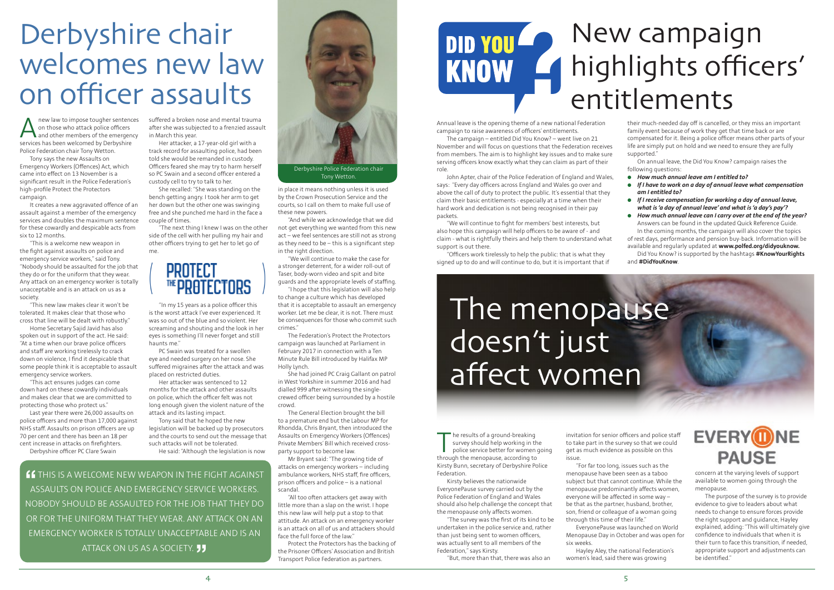Anew law to impose tougher sentences<br>on those who attack police officers<br>and other members of the emergency<br>services has been welcomed by Derbyshire on those who attack police officers and other members of the emergency services has been welcomed by Derbyshire Police Federation chair Tony Wetton.

Tony says the new Assaults on Emergency Workers (Offences) Act, which came into effect on 13 November is a significant result in the Police Federation's high-profile Protect the Protectors campaign.

It creates a new aggravated offence of an assault against a member of the emergency services and doubles the maximum sentence for these cowardly and despicable acts from six to 12 months.

"This is a welcome new weapon in the fight against assaults on police and emergency service workers," said Tony. "Nobody should be assaulted for the job that they do or for the uniform that they wear. Any attack on an emergency worker is totally unacceptable and is an attack on us as a society.

new law to impose tougher sentences suffered a broken nose and mental trauma after she was subjected to a frenzied assault in March this year.

"This new law makes clear it won't be tolerated. It makes clear that those who cross that line will be dealt with robustly."

Home Secretary Sajid Javid has also spoken out in support of the act. He said: "At a time when our brave police officers and staff are working tirelessly to crack down on violence, I find it despicable that some people think it is acceptable to assault emergency service workers.

"In my 15 years as a police officer this is the worst attack I've ever experienced. It was so out of the blue and so violent. Her screaming and shouting and the look in her eyes is something I'll never forget and still haunts me<sup>"</sup>

"This act ensures judges can come down hard on these cowardly individuals and makes clear that we are committed to protecting those who protect us."

Last year there were 26,000 assaults on police officers and more than 17,000 against NHS staff. Assaults on prison officers are up 70 per cent and there has been an 18 per cent increase in attacks on firefighters. Derbyshire officer PC Clare Swain

# Derbyshire chair welcomes new law on officer assaults

Her attacker, a 17-year-old girl with a track record for assaulting police, had been told she would be remanded in custody. Officers feared she may try to harm herself so PC Swain and a second officer entered a custody cell to try to talk to her.

She recalled: "She was standing on the bench getting angry. I took her arm to get her down but the other one was swinging free and she punched me hard in the face a couple of times.

"The next thing I knew I was on the other side of the cell with her pulling my hair and other officers trying to get her to let go of me.

# **PROTECT <u><b>™PRATFCTORS**</u>

PC Swain was treated for a swollen eye and needed surgery on her nose. She suffered migraines after the attack and was placed on restricted duties.

> The results of a ground-breaking<br>survey should help working in the<br>police service better for women<br>through the menopause according to survey should help working in the police service better for women going through the menopause, according to Kirsty Bunn, secretary of Derbyshire Police Federation.

Her attacker was sentenced to 12 months for the attack and other assaults on police, which the officer felt was not long enough given the violent nature of the attack and its lasting impact.

Tony said that he hoped the new legislation will be backed up by prosecutors and the courts to send out the message that such attacks will not be tolerated.

He said: "Although the legislation is now

**"** I THIS IS A WELCOME NEW WEAPON IN THE FIGHT AGAINST ASSAULTS ON POLICE AND EMERGENCY SERVICE WORKERS. NOBODY SHOULD BE ASSAULTED FOR THE JOB THAT THEY DO OR FOR THE UNIFORM THAT THEY WEAR. ANY ATTACK ON AN EMERGENCY WORKER IS TOTALLY UNACCEPTABLE AND IS AN ATTACK ON US AS A SOCIETY. **JJ** 

in place it means nothing unless it is used by the Crown Prosecution Service and the courts, so I call on them to make full use of these new powers.

"And while we acknowledge that we did not get everything we wanted from this new act – we feel sentences are still not as strong as they need to be – this is a significant step in the right direction.

"We will continue to make the case for a stronger deterrent, for a wider roll-out of Taser, body-worn video and spit and bite guards and the appropriate levels of staffing.

"I hope that this legislation will also help to change a culture which has developed that it is acceptable to assault an emergency worker. Let me be clear, it is not. There must be consequences for those who commit such crimes."

The Federation's Protect the Protectors campaign was launched at Parliament in February 2017 in connection with a Ten Minute Rule Bill introduced by Halifax MP Holly Lynch.

She had joined PC Craig Gallant on patrol in West Yorkshire in summer 2016 and had dialled 999 after witnessing the singlecrewed officer being surrounded by a hostile crowd.

The General Election brought the bill to a premature end but the Labour MP for Rhondda, Chris Bryant, then introduced the Assaults on Emergency Workers (Offences) Private Members' Bill which received crossparty support to become law.

Mr Bryant said: "The growing tide of attacks on emergency workers – including ambulance workers, NHS staff, fire officers prison officers and police – is a national scandal.

"All too often attackers get away with little more than a slap on the wrist. I hope this new law will help put a stop to that attitude. An attack on an emergency worker is an attack on all of us and attackers should face the full force of the law."

Protect the Protectors has the backing of the Prisoner Officers' Association and British Transport Police Federation as partners.



Tony Wetton.

Kirsty believes the nationwide EveryonePause survey carried out by the Police Federation of England and Wales should also help challenge the concept that the menopause only affects women.

"The survey was the first of its kind to be undertaken in the police service and, rather than just being sent to women officers, was actually sent to all members of the Federation," says Kirsty.

"But, more than that, there was also an

Annual leave is the opening theme of a new national Federation campaign to raise awareness of officers' entitlements.

The campaign – entitled Did You Know? – went live on 21 November and will focus on questions that the Federation receives from members. The aim is to highlight key issues and to make sure serving officers know exactly what they can claim as part of their role.

John Apter, chair of the Police Federation of England and Wales, says: "Every day officers across England and Wales go over and above the call of duty to protect the public. It's essential that they claim their basic entitlements - especially at a time when their hard work and dedication is not being recognised in their pay packets.

"We will continue to fight for members' best interests, but also hope this campaign will help officers to be aware of - and claim - what is rightfully theirs and help them to understand what support is out there.

"Officers work tirelessly to help the public: that is what they signed up to do and will continue to do, but it is important that if

# The menopause doesn't just affect women

invitation for senior officers and police staff to take part in the survey so that we could get as much evidence as possible on this issue.

"For far too long, issues such as the menopause have been seen as a taboo subject but that cannot continue. While the menopause predominantly affects women, everyone will be affected in some way – be that as the partner, husband, brother, son, friend or colleague of a woman going through this time of their life."

EveryonePause was launched on World Menopause Day in October and was open for six weeks.

Hayley Aley, the national Federation's women's lead, said there was growing

concern at the varying levels of support available to women going through the menopause.

The purpose of the survey is to provide evidence to give to leaders about what needs to change to ensure forces provide the right support and guidance, Hayley explained, adding: "This will ultimately give confidence to individuals that when it is their turn to face this transition, if needed, appropriate support and adjustments can be identified."

# New campaign **DID YOU** highlights officers' KNOW F entitlements

their much-needed day off is cancelled, or they miss an important family event because of work they get that time back or are compensated for it. Being a police officer means other parts of your life are simply put on hold and we need to ensure they are fully supported."

On annual leave, the Did You Know? campaign raises the following questions:

- l *How much annual leave am I entitled to?*
- l *If I have to work on a day of annual leave what compensation am I entitled to?*
- l *If I receive compensation for working a day of annual leave, what is'a day of annual leave' and what is'a day's pay'?*
- l *How much annual leave can I carry over at the end of the year?* Answers can be found in the updated Quick Reference Guide. In the coming months, the campaign will also cover the topics

of rest days, performance and pension buy-back. Information will be available and regularly updated at **www.polfed.org/didyouknow.** Did You Know? is supported by the hashtags **#KnowYourRights**

and **#DidYouKnow**.



# **EVERYONE PAUSE**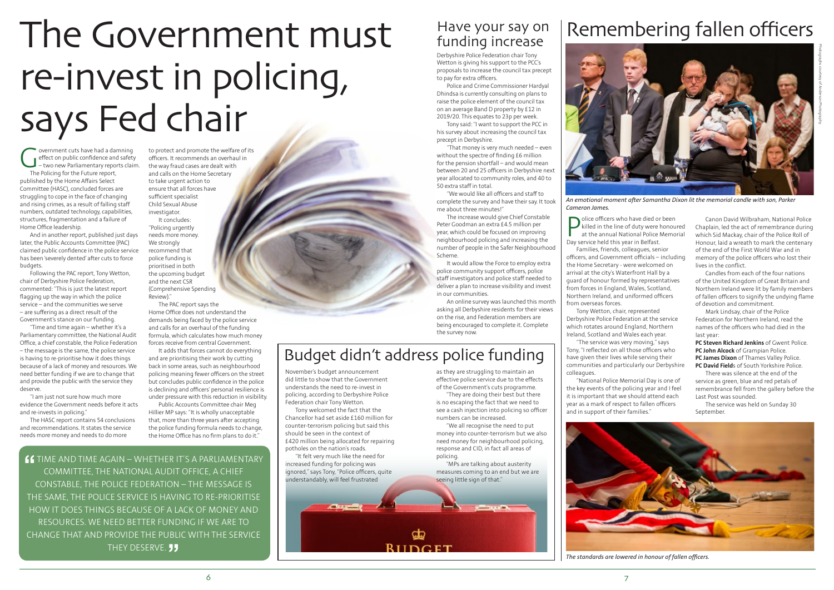*An emotional moment after Samantha Dixon lit the memorial candle with son, Parker* 

*Cameron James.*

**P** dice officers who have died or killed in the line of duty were<br>at the annual National Police<br>Day service held this year in Belfast. olice officers who have died or been killed in the line of duty were honoured at the annual National Police Memorial Families, friends, colleagues, senior officers, and Government officials – including the Home Secretary - were welcomed on arrival at the city's Waterfront Hall by a guard of honour formed by representatives from forces in England, Wales, Scotland, Northern Ireland, and uniformed officers

from overseas forces. Tony Wetton, chair, represented Derbyshire Police Federation at the service which rotates around England, Northern Ireland, Scotland and Wales each year. "The service was very moving," says Tony, "I reflected on all those officers who have given their lives while serving their communities and particularly our Derbyshire

colleagues.

"National Police Memorial Day is one of

the key events of the policing year and I feel it is important that we should attend each year as a mark of respect to fallen officers and in support of their families."

# Remembering fallen officers

Canon David Wilbraham, National Police Chaplain, led the act of remembrance during which Sid Mackay, chair of the Police Roll of Honour, laid a wreath to mark the centenary of the end of the First World War and in memory of the police officers who lost their lives in the conflict.

Government cuts have had a damning<br>effect on public confidence and safety<br>- two new Parliamentary reports claim<br>The Policing for the Future report effect on public confidence and safety – two new Parliamentary reports claim. The Policing for the Future report, published by the Home Affairs Select Committee (HASC), concluded forces are struggling to cope in the face of changing and rising crimes, as a result of falling staff numbers, outdated technology, capabilities, structures, fragmentation and a failure of Home Office leadership.

> Candles from each of the four nations of the United Kingdom of Great Britain and Northern Ireland were lit by family members of fallen officers to signify the undying flame of devotion and commitment.

Mark Lindsay, chair of the Police Federation for Northern Ireland, read the names of the officers who had died in the last year:

"I am just not sure how much more evidence the Government needs before it acts and re-invests in policing.

**PC Steven Richard Jenkins** of Gwent Police. **PC John Alcock** of Grampian Police. **PC James Dixon** of Thames Valley Police.

**PC David Field**s of South Yorkshire Police. There was silence at the end of the

service as green, blue and red petals of remembrance fell from the gallery before the Last Post was sounded.

The service was held on Sunday 30 September.



**"** TIME AND TIME AGAIN – WHETHER IT'S A PARLIAMENTARY COMMITTEE, THE NATIONAL AUDIT OFFICE, A CHIEF CONSTABLE, THE POLICE FEDERATION – THE MESSAGE IS THE SAME, THE POLICE SERVICE IS HAVING TO RE-PRIORITISE HOW IT DOES THINGS BECAUSE OF A LACK OF MONEY AND RESOURCES. WE NEED BETTER FUNDING IF WE ARE TO CHANGE THAT AND PROVIDE THE PUBLIC WITH THE SERVICE THEY DESERVE. **JJ** 

And in another report, published just days later, the Public Accounts Committee (PAC) claimed public confidence in the police service has been 'severely dented' after cuts to force budgets.

Following the PAC report, Tony Wetton, chair of Derbyshire Police Federation, commented: "This is just the latest report flagging up the way in which the police service – and the communities we serve – are suffering as a direct result of the Government's stance on our funding.

"Time and time again – whether it's a Parliamentary committee, the National Audit Office, a chief constable, the Police Federation – the message is the same, the police service is having to re-prioritise how it does things because of a lack of money and resources. We need better funding if we are to change that and provide the public with the service they deserve.

The HASC report contains 54 conclusions and recommendations. It states the service needs more money and needs to do more

Budget didn't address police funding

as they are struggling to maintain an effective police service due to the effects of the Government's cuts programme. "They are doing their best but there is no escaping the fact that we need to see a cash injection into policing so officer

numbers can be increased.

"We all recognise the need to put money into counter-terrorism but we also need money for neighbourhood policing, response and CID, in fact all areas of

policing.

"MPs are talking about austerity measures coming to an end but we are

seeing little sign of that."

November's budget announcement did little to show that the Government understands the need to re-invest in policing, according to Derbyshire Police

Federation chair Tony Wetton.

Tony welcomed the fact that the Chancellor had set aside £160 million for counter-terrorism policing but said this should be seen in the context of

£420 million being allocated for repairing

potholes on the nation's roads.



"It felt very much like the need for increased funding for policing was ignored," says Tony, "Police officers, quite understandably, will feel frustrated

## Have your say on funding increase

to protect and promote the welfare of its officers. It recommends an overhaul in the way fraud cases are dealt with and calls on the Home Secretary to take urgent action to ensure that all forces have sufficient specialist Child Sexual Abuse investigator. It concludes:

"Policing urgently needs more money. We strongly recommend that police funding is prioritised in both the upcoming budget and the next CSR (Comprehensive Spending Review)."

The PAC report says the Home Office does not understand the demands being faced by the police service and calls for an overhaul of the funding formula, which calculates how much money forces receive from central Government.

It adds that forces cannot do everything and are prioritising their work by cutting back in some areas, such as neighbourhood policing meaning fewer officers on the street but concludes public confidence in the police is declining and officers' personal resilience is under pressure with this reduction in visibility.

Public Accounts Committee chair Meg Hillier MP says: "It is wholly unacceptable that, more than three years after accepting the police funding formula needs to change, the Home Office has no firm plans to do it."

# The Government must re-invest in policing, says Fed chair

Derbyshire Police Federation chair Tony Wetton is giving his support to the PCC's proposals to increase the council tax precept to pay for extra officers.

Police and Crime Commissioner Hardyal Dhindsa is currently consulting on plans to raise the police element of the council tax on an average Band D property by £12 in 2019/20. This equates to 23p per week.

Tony said: "I want to support the PCC in his survey about increasing the council tax precept in Derbyshire.

"That money is very much needed – even without the spectre of finding £6 million for the pension shortfall – and would mean between 20 and 25 officers in Derbyshire next year allocated to community roles, and 40 to 50 extra staff in total.

"We would like all officers and staff to complete the survey and have their say. It took me about three minutes!"

The increase would give Chief Constable Peter Goodman an extra £4.5 million per year, which could be focused on improving neighbourhood policing and increasing the number of people in the Safer Neighbourhood Scheme.

It would allow the Force to employ extra police community support officers, police staff investigators and police staff needed to deliver a plan to increase visibility and invest in our communities.

An online survey was launched this month asking all Derbyshire residents for their views on the rise, and Federation members are being encouraged to complete it. Complete the survey now.